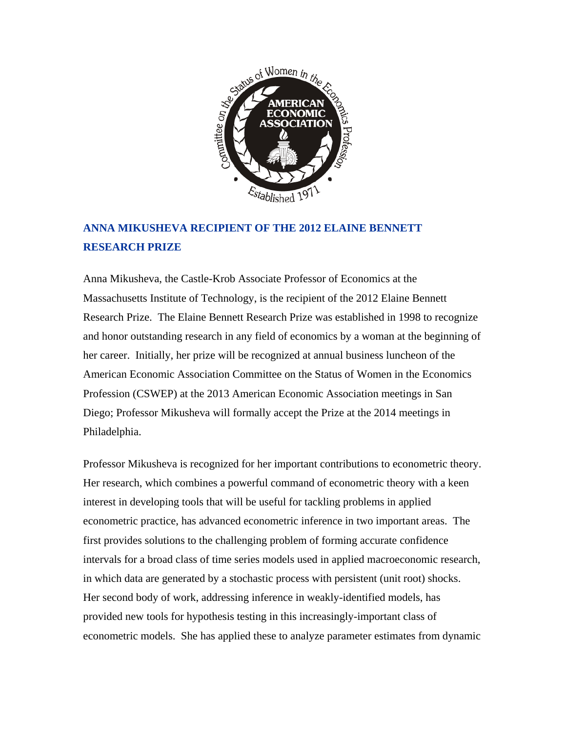

## **ANNA MIKUSHEVA RECIPIENT OF THE 2012 ELAINE BENNETT RESEARCH PRIZE**

Anna Mikusheva, the Castle-Krob Associate Professor of Economics at the Massachusetts Institute of Technology, is the recipient of the 2012 Elaine Bennett Research Prize. The Elaine Bennett Research Prize was established in 1998 to recognize and honor outstanding research in any field of economics by a woman at the beginning of her career. Initially, her prize will be recognized at annual business luncheon of the American Economic Association Committee on the Status of Women in the Economics Profession (CSWEP) at the 2013 American Economic Association meetings in San Diego; Professor Mikusheva will formally accept the Prize at the 2014 meetings in Philadelphia.

Professor Mikusheva is recognized for her important contributions to econometric theory. Her research, which combines a powerful command of econometric theory with a keen interest in developing tools that will be useful for tackling problems in applied econometric practice, has advanced econometric inference in two important areas. The first provides solutions to the challenging problem of forming accurate confidence intervals for a broad class of time series models used in applied macroeconomic research, in which data are generated by a stochastic process with persistent (unit root) shocks. Her second body of work, addressing inference in weakly-identified models, has provided new tools for hypothesis testing in this increasingly-important class of econometric models. She has applied these to analyze parameter estimates from dynamic